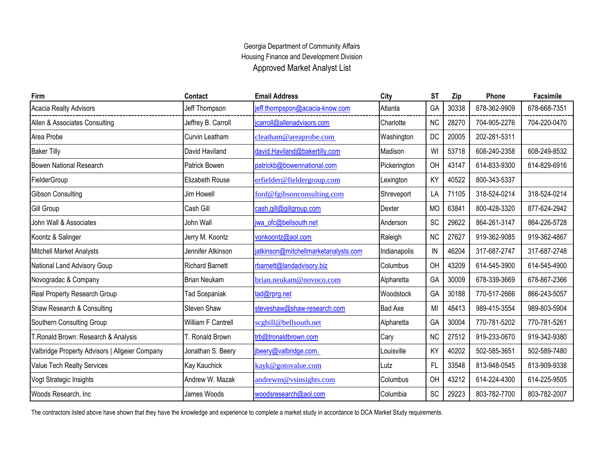## Georgia Department of Community Affairs Approved Market Analyst List Housing Finance and Development Division

| Firm                                           | Contact                | <b>Email Address</b>                 | City           | <b>ST</b> | Zip   | Phone        | Facsimile    |
|------------------------------------------------|------------------------|--------------------------------------|----------------|-----------|-------|--------------|--------------|
| Acacia Realty Advisors                         | Jeff Thompson          | jeff.thompspon@acacia-know.com       | Atlanta        | GA        | 30338 | 678-362-9909 | 678-668-7351 |
| Allen & Associates Consulting                  | Jeffrey B. Carroll     | jcarroll@allenadvisors.com           | Charlotte      | <b>NC</b> | 28270 | 704-905-2276 | 704-220-0470 |
| Area Probe                                     | Curvin Leatham         | cleatham@areaprobe.com               | Washington     | DC        | 20005 | 202-281-5311 |              |
| <b>Baker Tilly</b>                             | David Haviland         | david.Haviland@bakertilly.com        | Madison        | WI        | 53718 | 608-240-2358 | 608-249-8532 |
| <b>Bowen National Research</b>                 | Patrick Bowen          | patrickb@bowennational.com           | Pickerington   | OH        | 43147 | 614-833-9300 | 614-829-6916 |
| FielderGroup                                   | Elizabeth Rouse        | erfielder@fieldergroup.com           | Lexington      | KY        | 40522 | 800-343-5337 |              |
| <b>Gibson Consulting</b>                       | Jim Howell             | ford@fgibsonconsulting.com           | Shreveport     | LA        | 71105 | 318-524-0214 | 318-524-0214 |
| <b>Gill Group</b>                              | Cash Gill              | cash.gill@gillgroup.com              | Dexter         | <b>MO</b> | 63841 | 800-428-3320 | 877-624-2942 |
| John Wall & Associates                         | John Wall              | jwa_ofc@bellsouth.net                | Anderson       | SC        | 29622 | 864-261-3147 | 864-226-5728 |
| Koontz & Salinger                              | Jerry M. Koontz        | vonkoontz@aol.com                    | Raleigh        | <b>NC</b> | 27627 | 919-362-9085 | 919-362-4867 |
| <b>Mitchell Market Analysts</b>                | Jennifer Atkinson      | jatkinson@mitchellmarketanalysts.com | Indianapolis   | IN        | 46204 | 317-687-2747 | 317-687-2748 |
| National Land Advisory Goup                    | <b>Richard Barnett</b> | rbarnett@landadvisory.biz            | Columbus       | OH        | 43209 | 614-545-3900 | 614-545-4900 |
| Novogradac & Company                           | <b>Brian Neukam</b>    | brian.neukam@novoco.com              | Alpharetta     | GA        | 30009 | 678-339-3669 | 678-867-2366 |
| Real Property Research Group                   | <b>Tad Scepaniak</b>   | tad@rprg.net                         | Woodstock      | GA        | 30188 | 770-517-2666 | 866-243-5057 |
| Shaw Research & Consulting                     | Steven Shaw            | steveshaw@shaw-research.com          | <b>Bad Axe</b> | MI        | 48413 | 989-415-3554 | 989-803-5904 |
| Southern Consulting Group                      | William F Cantrell     | scgbill@bellsouth.net                | Alpharetta     | GA        | 30004 | 770-781-5202 | 770-781-5261 |
| T.Ronald Brown: Research & Analysis            | T. Ronald Brown        | trb@tronaldbrown.com                 | Cary           | <b>NC</b> | 27512 | 919-233-0670 | 919-342-9380 |
| Valbridge Property Advisors   Allgeier Company | Jonathan S. Beery      | jbeery@valbridge.com.                | _ouisville     | KY        | 40202 | 502-585-3651 | 502-589-7480 |
| Value Tech Realty Services                     | Kay Kauchick           | kayk@gotovalue.com                   | Lutz           | FL        | 33548 | 813-948-0545 | 813-909-9338 |
| Vogt Strategic Insights                        | Andrew W. Mazak        | andrewm@vsinsights.com               | Columbus       | OH        | 43212 | 614-224-4300 | 614-225-9505 |
| Woods Research, Inc.                           | James Woods            | woodsresearch@aol.com                | Columbia       | SC        | 29223 | 803-782-7700 | 803-782-2007 |

The contractors listed above have shown that they have the knowledge and experience to complete a market study in accordance to DCA Market Study requirements.